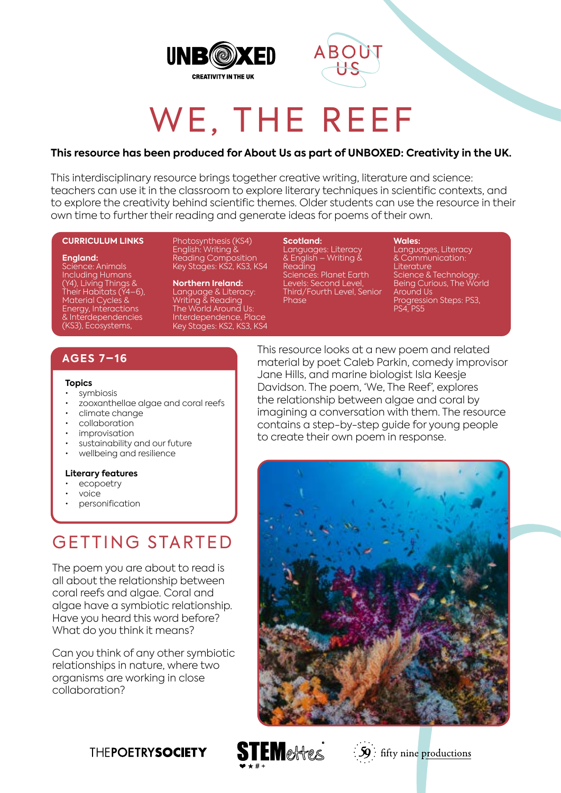



# WE, THE REEF

### **This resource has been produced for About Us as part of UNBOXED: Creativity in the UK.**

This interdisciplinary resource brings together creative writing, literature and science: teachers can use it in the classroom to explore literary techniques in scientific contexts, and to explore the creativity behind scientific themes. Older students can use the resource in their own time to further their reading and generate ideas for poems of their own.

#### **CURRICULUM LINKS**

**England:** Science: Animals Including Humans (Y4), Living Things & Their Habitats (Y4–6), Material Cycles & Energy, Interactions & Interdependencies (KS3), Ecosystems,

Photosynthesis (KS4) English: Writing & Reading Composition Key Stages: KS2, KS3, KS4

**Northern Ireland:** Language & Literacy: Writing & Reading The World Around Us: Interdependence, Place Key Stages: KS2, KS3, KS4

**Scotland:** Languages: Literacy & English – Writing & **Reading** Sciences: Planet Earth Levels: Second Level, Third/Fourth Level, Senior **Phase** 

**Wales:** Languages, Literacy & Communication: **Literature** Science & Technology: Being Curious, The World Around Us Progression Steps: PS3, PS4, PS5

### **AGES 7–16**

#### **Topics**

- symbiosis
- zooxanthellae algae and coral reefs
- climate change
- collaboration
- improvisation
- sustainability and our future
- wellbeing and resilience

#### **Literary features**

- ecopoetry
- voice
- personification

# GETTING STARTED

The poem you are about to read is all about the relationship between coral reefs and algae. Coral and algae have a symbiotic relationship. Have you heard this word before? What do you think it means?

Can you think of any other symbiotic relationships in nature, where two organisms are working in close collaboration?

This resource looks at a new poem and related material by poet Caleb Parkin, comedy improvisor Jane Hills, and marine biologist Isla Keesje Davidson. The poem, 'We, The Reef', explores the relationship between algae and coral by imagining a conversation with them. The resource contains a step-by-step guide for young people to create their own poem in response.







 $\left\langle \mathbf{S} \right\rangle$ : fifty nine productions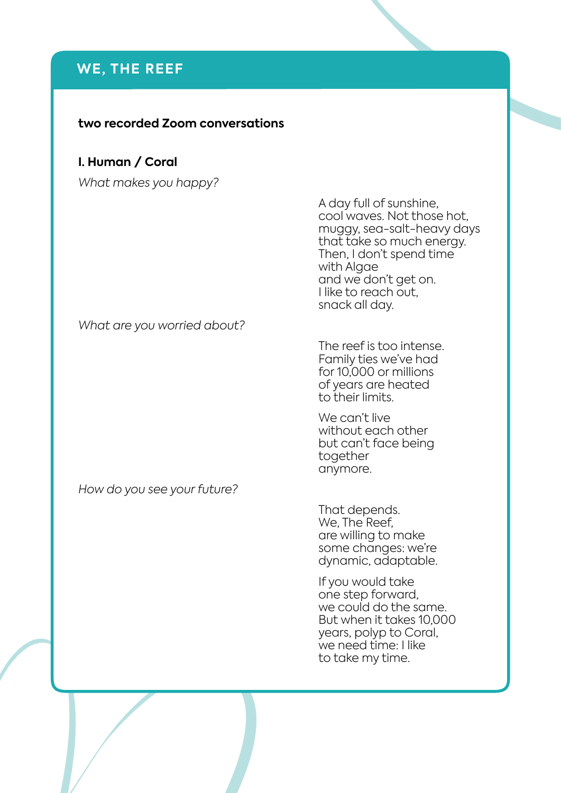# **WE, THE REEF**

### **two recorded Zoom conversations**

### **I. Human / Coral**

*What makes you happy?*

A day full of sunshine, cool waves. Not those hot, muggy, sea-salt-heavy days that take so much energy. Then, I don't spend time with Algae and we don't get on. I like to reach out, snack all day.

### *What are you worried about?*

The reef is too intense. Family ties we've had for 10,000 or millions of years are heated to their limits.

We can't live without each other but can't face being together anymore.

*How do you see your future?* 

That depends. We, The Reef. are willing to make some changes: we're dynamic, adaptable.

If you would take one step forward, we could do the same. But when it takes 10,000 years, polyp to Coral, we need time: I like to take my time.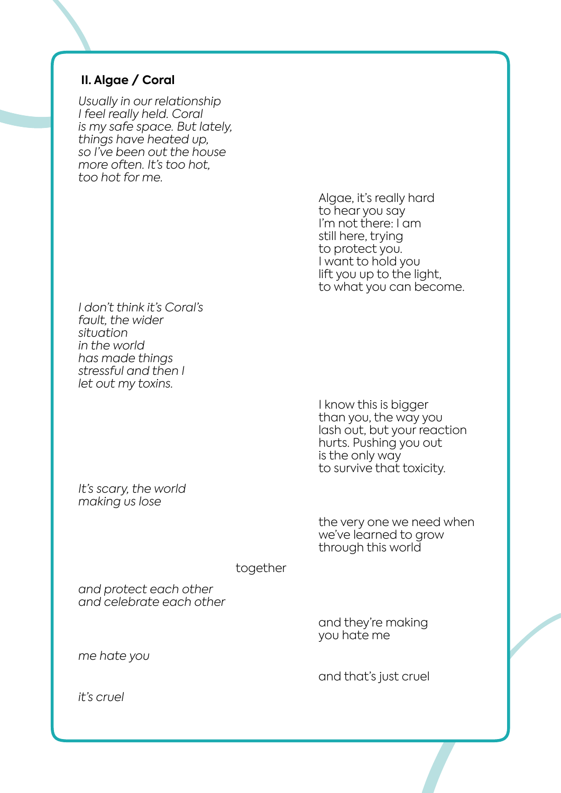### **II. Algae / Coral**

*Usually in our relationship I feel really held. Coral is my safe space. But lately, things have heated up, so I've been out the house more often. It's too hot, too hot for me.* 

> Algae, it's really hard to hear you say I'm not there: I am still here, trying to protect you. I want to hold you lift you up to the light, to what you can become.

*I don't think it's Coral's fault, the wider situation in the world has made things stressful and then I let out my toxins.*

> I know this is bigger than you, the way you lash out, but your reaction hurts. Pushing you out is the only way to survive that toxicity.

the very one we need when we've learned to grow through this world

*It's scary, the world making us lose* 

together

*and protect each other and celebrate each other*

> and they're making you hate me

*me hate you*

and that's just cruel

*it's cruel*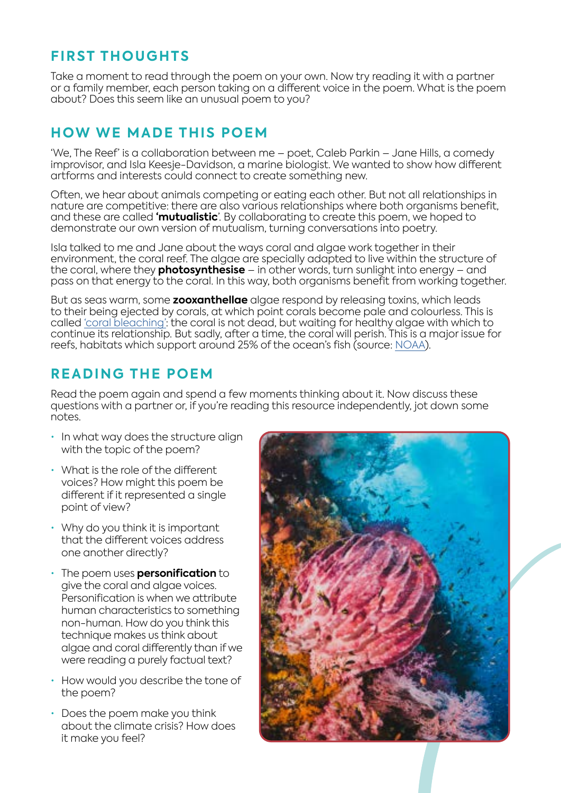# **FIRST THOUGHTS**

Take a moment to read through the poem on your own. Now try reading it with a partner or a family member, each person taking on a different voice in the poem. What is the poem about? Does this seem like an unusual poem to you?

# **HOW WE MADE THIS POEM**

'We, The Reef' is a collaboration between me – poet, Caleb Parkin – Jane Hills, a comedy improvisor, and Isla Keesje-Davidson, a marine biologist. We wanted to show how different artforms and interests could connect to create something new.

Often, we hear about animals competing or eating each other. But not all relationships in nature are competitive: there are also various relationships where both organisms benefit, and these are called **'mutualistic**'. By collaborating to create this poem, we hoped to demonstrate our own version of mutualism, turning conversations into poetry.

Isla talked to me and Jane about the ways coral and algae work together in their environment, the coral reef. The algae are specially adapted to live within the structure of the coral, where they **photosynthesise** – in other words, turn sunlight into energy – and pass on that energy to the coral. In this way, both organisms benefit from working together.

But as seas warm, some **zooxanthellae** algae respond by releasing toxins, which leads to their being ejected by corals, at which point corals become pale and colourless. This is called ['coral bleaching'](https://oceanservice.noaa.gov/facts/coral_bleach.html): the coral is not dead, but waiting for healthy algae with which to continue its relationship. But sadly, after a time, the coral will perish. This is a major issue for reefs, habitats which support around 25% of the ocean's fish (source: [NOAA](https://www.noaa.gov/education/resource-collections/marine-life/coral-reef-ecosystems)).

# **READING THE POEM**

Read the poem again and spend a few moments thinking about it. Now discuss these questions with a partner or, if you're reading this resource independently, jot down some notes.

- In what way does the structure align with the topic of the poem?
- What is the role of the different voices? How might this poem be different if it represented a single point of view?
- Why do you think it is important that the different voices address one another directly?
- The poem uses **personification** to give the coral and algae voices. Personification is when we attribute human characteristics to something non-human. How do you think this technique makes us think about algae and coral differently than if we were reading a purely factual text?
- How would you describe the tone of the poem?
- Does the poem make you think about the climate crisis? How does it make you feel?

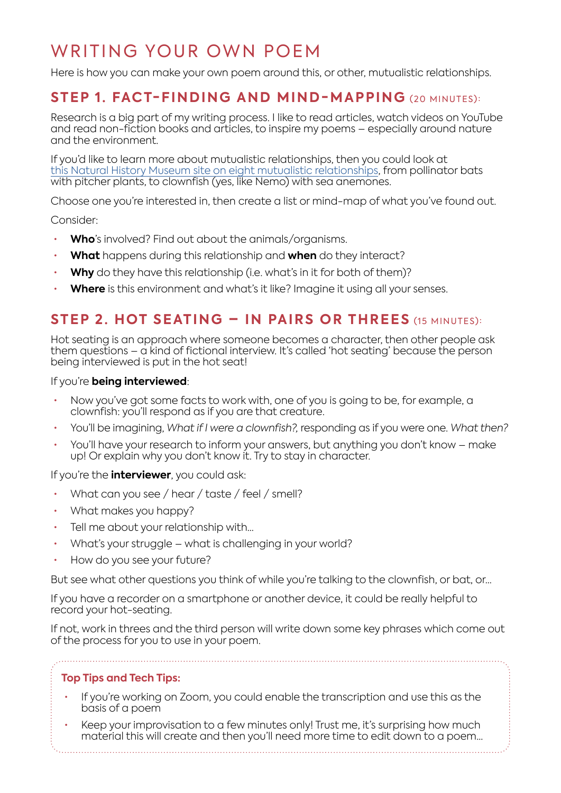# WRITING YOUR OWN POEM

Here is how you can make your own poem around this, or other, mutualistic relationships.

## **STEP 1. FACT-FINDING AND MIND-MAPPING** (20 MINUTES):

Research is a big part of my writing process. I like to read articles, watch videos on YouTube and read non-fiction books and articles, to inspire my poems – especially around nature and the environment.

If you'd like to learn more about mutualistic relationships, then you could look at [this Natural History Museum site on eight mutualistic relationships](https://www.nhm.ac.uk/discover/mutualism-examples-of-species-that-work-together.html), from pollinator bats with pitcher plants, to clownfish (yes, like Nemo) with sea anemones.

Choose one you're interested in, then create a list or mind-map of what you've found out.

Consider:

- **Who**'s involved? Find out about the animals/organisms.
- **What** happens during this relationship and **when** do they interact?
- **Why** do they have this relationship (i.e. what's in it for both of them)?
- **Where** is this environment and what's it like? Imagine it using all your senses.

# **STEP 2. HOT SEATING – IN PAIRS OR THREES** (15 MINUTES):

Hot seating is an approach where someone becomes a character, then other people ask them questions – a kind of fictional interview. It's called 'hot seating' because the person being interviewed is put in the hot seat!

### If you're **being interviewed**:

- Now you've got some facts to work with, one of you is going to be, for example, a clownfish: you'll respond as if you are that creature.
- You'll be imagining, *What if I were a clownfish?,* responding as if you were one. *What then?*
- You'll have your research to inform your answers, but anything you don't know make up! Or explain why you don't know it. Try to stay in character.

If you're the **interviewer**, you could ask:

- What can you see / hear / taste / feel / smell?
- What makes you happy?
- Tell me about your relationship with...
- What's your struggle what is challenging in your world?
- How do you see your future?

But see what other questions you think of while you're talking to the clownfish, or bat, or...

If you have a recorder on a smartphone or another device, it could be really helpful to record your hot-seating.

If not, work in threes and the third person will write down some key phrases which come out of the process for you to use in your poem.

### **Top Tips and Tech Tips:**

- If you're working on Zoom, you could enable the transcription and use this as the basis of a poem
- Keep your improvisation to a few minutes only! Trust me, it's surprising how much material this will create and then you'll need more time to edit down to a poem…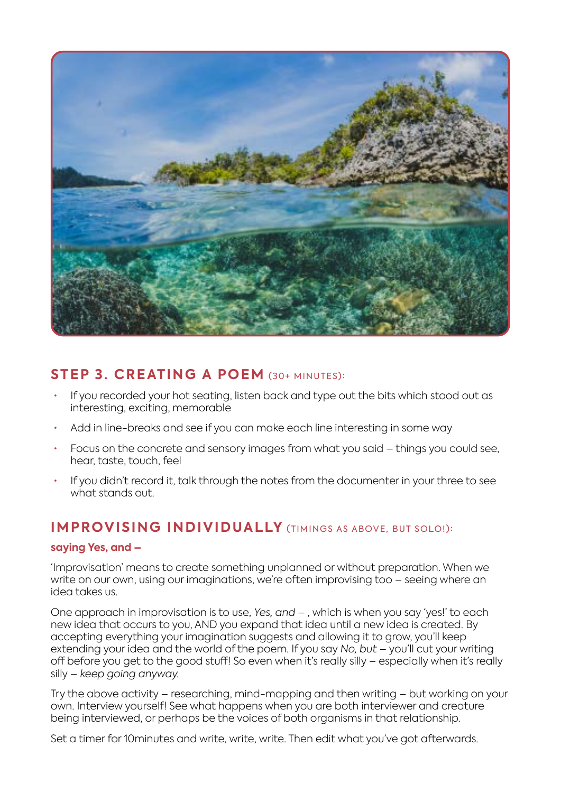

# **STEP 3. CREATING A POEM** (30+ MINUTES):

- If you recorded your hot seating, listen back and type out the bits which stood out as interesting, exciting, memorable
- Add in line-breaks and see if you can make each line interesting in some way
- Focus on the concrete and sensory images from what you said things you could see, hear, taste, touch, feel
- If you didn't record it, talk through the notes from the documenter in your three to see what stands out.

### **IMPROVISING INDIVIDUALLY** (TIMINGS AS ABOVE, BUT SOLO!):

#### **saying Yes, and –**

'Improvisation' means to create something unplanned or without preparation. When we write on our own, using our imaginations, we're often improvising too – seeing where an idea takes us.

One approach in improvisation is to use, *Yes, and –* , which is when you say 'yes!' to each new idea that occurs to you, AND you expand that idea until a new idea is created. By accepting everything your imagination suggests and allowing it to grow, you'll keep extending your idea and the world of the poem. If you say *No, but –* you'll cut your writing off before you get to the good stuff! So even when it's really silly – especially when it's really silly – *keep going anyway.*

Try the above activity – researching, mind-mapping and then writing – but working on your own. Interview yourself! See what happens when you are both interviewer and creature being interviewed, or perhaps be the voices of both organisms in that relationship.

Set a timer for 10minutes and write, write, write. Then edit what you've got afterwards.